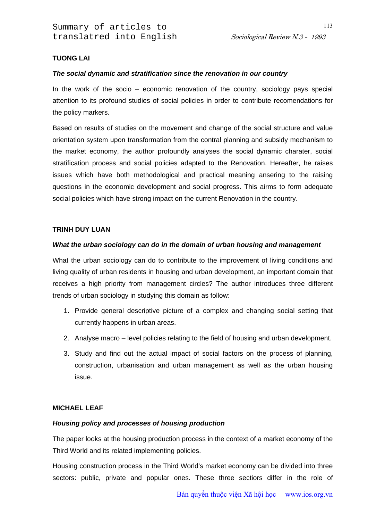113

# **TUONG LAI**

#### *The social dynamic and stratification since the renovation in our country*

In the work of the socio  $-$  economic renovation of the country, sociology pays special attention to its profound studies of social policies in order to contribute recomendations for the policy markers.

Based on results of studies on the movement and change of the social structure and value orientation system upon transformation from the contral planning and subsidy mechanism to the market economy, the author profoundly analyses the social dynamic charater, social stratification process and social policies adapted to the Renovation. Hereafter, he raises issues which have both methodological and practical meaning ansering to the raising questions in the economic development and social progress. This airms to form adequate social policies which have strong impact on the current Renovation in the country.

#### **TRINH DUY LUAN**

#### *What the urban sociology can do in the domain of urban housing and management*

What the urban sociology can do to contribute to the improvement of living conditions and living quality of urban residents in housing and urban development, an important domain that receives a high priority from management circles? The author introduces three different trends of urban sociology in studying this domain as follow:

- 1. Provide general descriptive picture of a complex and changing social setting that currently happens in urban areas.
- 2. Analyse macro level policies relating to the field of housing and urban development.
- 3. Study and find out the actual impact of social factors on the process of planning, construction, urbanisation and urban management as well as the urban housing issue.

### **MICHAEL LEAF**

### *Housing policy and processes of housing production*

The paper looks at the housing production process in the context of a market economy of the Third World and its related implementing policies.

Housing construction process in the Third World's market economy can be divided into three sectors: public, private and popular ones. These three sectiors differ in the role of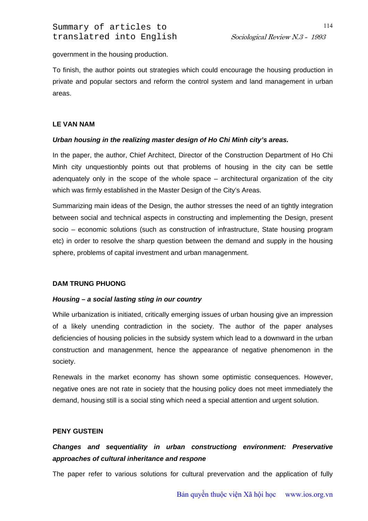government in the housing production.

To finish, the author points out strategies which could encourage the housing production in private and popular sectors and reform the control system and land management in urban areas.

# **LE VAN NAM**

# *Urban housing in the realizing master design of Ho Chi Minh city's areas.*

In the paper, the author, Chief Architect, Director of the Construction Department of Ho Chi Minh city unquestionbly points out that problems of housing in the city can be settle adenquately only in the scope of the whole space – architectural organization of the city which was firmly established in the Master Design of the City's Areas.

Summarizing main ideas of the Design, the author stresses the need of an tightly integration between social and technical aspects in constructing and implementing the Design, present socio – economic solutions (such as construction of infrastructure, State housing program etc) in order to resolve the sharp question between the demand and supply in the housing sphere, problems of capital investment and urban managenment.

### **DAM TRUNG PHUONG**

### *Housing – a social lasting sting in our country*

While urbanization is initiated, critically emerging issues of urban housing give an impression of a likely unending contradiction in the society. The author of the paper analyses deficiencies of housing policies in the subsidy system which lead to a downward in the urban construction and managenment, hence the appearance of negative phenomenon in the society.

Renewals in the market economy has shown some optimistic consequences. However, negative ones are not rate in society that the housing policy does not meet immediately the demand, housing still is a social sting which need a special attention and urgent solution.

### **PENY GUSTEIN**

# *Changes and sequentiality in urban constructiong environment: Preservative approaches of cultural inheritance and respone*

The paper refer to various solutions for cultural prevervation and the application of fully